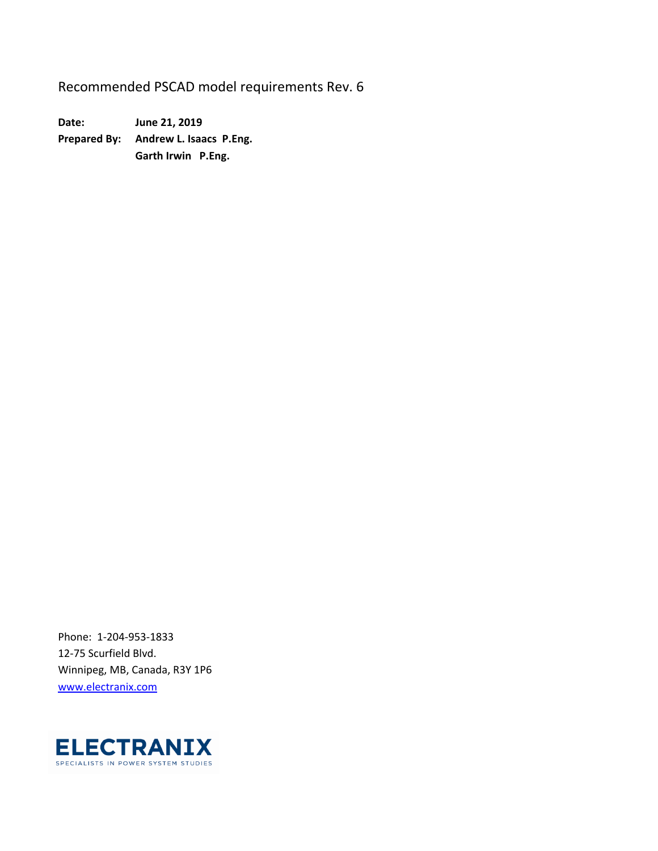Recommended PSCAD model requirements Rev. 6

**Date: June 21, 2019 Prepared By: Andrew L. Isaacs P.Eng. Garth Irwin P.Eng.** 

Phone: 1‐204‐953‐1833 12‐75 Scurfield Blvd. Winnipeg, MB, Canada, R3Y 1P6 www.electranix.com

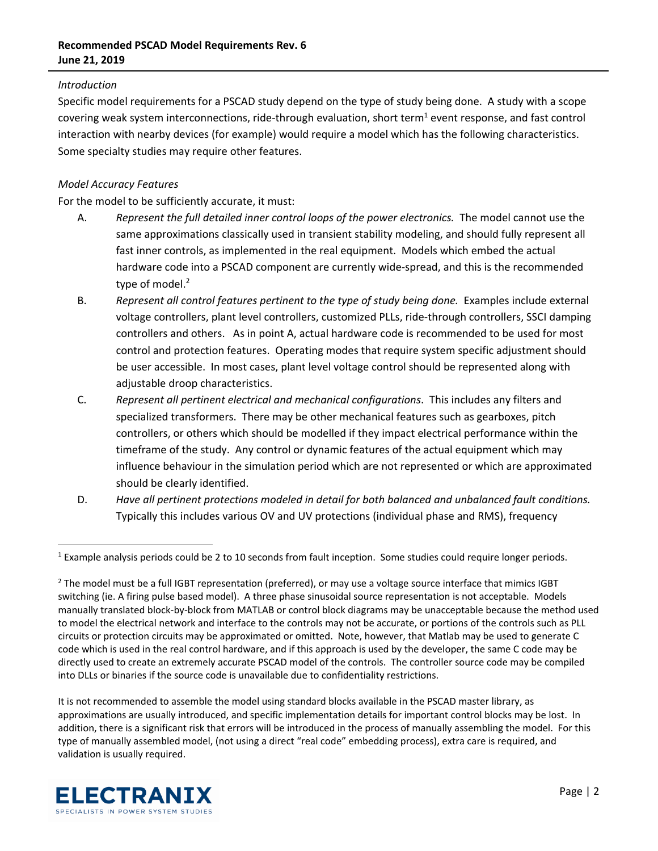## **Recommended PSCAD Model Requirements Rev. 6 June 21, 2019**

### *Introduction*

Specific model requirements for a PSCAD study depend on the type of study being done. A study with a scope covering weak system interconnections, ride-through evaluation, short term<sup>1</sup> event response, and fast control interaction with nearby devices (for example) would require a model which has the following characteristics. Some specialty studies may require other features.

### *Model Accuracy Features*

For the model to be sufficiently accurate, it must:

- A. *Represent the full detailed inner control loops of the power electronics.*  The model cannot use the same approximations classically used in transient stability modeling, and should fully represent all fast inner controls, as implemented in the real equipment. Models which embed the actual hardware code into a PSCAD component are currently wide‐spread, and this is the recommended type of model.<sup>2</sup>
- B. *Represent all control features pertinent to the type of study being done.* Examples include external voltage controllers, plant level controllers, customized PLLs, ride‐through controllers, SSCI damping controllers and others. As in point A, actual hardware code is recommended to be used for most control and protection features. Operating modes that require system specific adjustment should be user accessible. In most cases, plant level voltage control should be represented along with adjustable droop characteristics.
- C. *Represent all pertinent electrical and mechanical configurations*. This includes any filters and specialized transformers. There may be other mechanical features such as gearboxes, pitch controllers, or others which should be modelled if they impact electrical performance within the timeframe of the study. Any control or dynamic features of the actual equipment which may influence behaviour in the simulation period which are not represented or which are approximated should be clearly identified.
- D. *Have all pertinent protections modeled in detail for both balanced and unbalanced fault conditions.*  Typically this includes various OV and UV protections (individual phase and RMS), frequency

It is not recommended to assemble the model using standard blocks available in the PSCAD master library, as approximations are usually introduced, and specific implementation details for important control blocks may be lost. In addition, there is a significant risk that errors will be introduced in the process of manually assembling the model. For this type of manually assembled model, (not using a direct "real code" embedding process), extra care is required, and validation is usually required.



 $1$  Example analysis periods could be 2 to 10 seconds from fault inception. Some studies could require longer periods.

<sup>&</sup>lt;sup>2</sup> The model must be a full IGBT representation (preferred), or may use a voltage source interface that mimics IGBT switching (ie. A firing pulse based model). A three phase sinusoidal source representation is not acceptable. Models manually translated block‐by‐block from MATLAB or control block diagrams may be unacceptable because the method used to model the electrical network and interface to the controls may not be accurate, or portions of the controls such as PLL circuits or protection circuits may be approximated or omitted. Note, however, that Matlab may be used to generate C code which is used in the real control hardware, and if this approach is used by the developer, the same C code may be directly used to create an extremely accurate PSCAD model of the controls. The controller source code may be compiled into DLLs or binaries if the source code is unavailable due to confidentiality restrictions.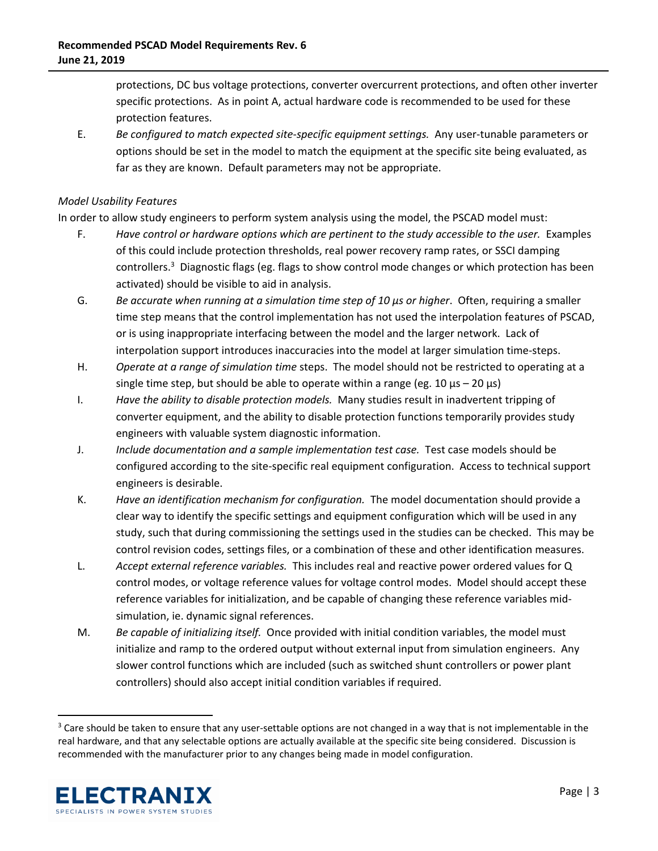protections, DC bus voltage protections, converter overcurrent protections, and often other inverter specific protections. As in point A, actual hardware code is recommended to be used for these protection features.

E. *Be configured to match expected site*‐*specific equipment settings.* Any user‐tunable parameters or options should be set in the model to match the equipment at the specific site being evaluated, as far as they are known. Default parameters may not be appropriate.

#### *Model Usability Features*

In order to allow study engineers to perform system analysis using the model, the PSCAD model must:

- F. *Have control or hardware options which are pertinent to the study accessible to the user.* Examples of this could include protection thresholds, real power recovery ramp rates, or SSCI damping controllers.<sup>3</sup> Diagnostic flags (eg. flags to show control mode changes or which protection has been activated) should be visible to aid in analysis.
- G. *Be accurate when running at a simulation time step of 10 μs or higher*. Often, requiring a smaller time step means that the control implementation has not used the interpolation features of PSCAD, or is using inappropriate interfacing between the model and the larger network. Lack of interpolation support introduces inaccuracies into the model at larger simulation time‐steps.
- H. *Operate at a range of simulation time* steps. The model should not be restricted to operating at a single time step, but should be able to operate within a range (eg. 10  $\mu$ s – 20  $\mu$ s)
- I. *Have the ability to disable protection models.* Many studies result in inadvertent tripping of converter equipment, and the ability to disable protection functions temporarily provides study engineers with valuable system diagnostic information.
- J. *Include documentation and a sample implementation test case*. Test case models should be configured according to the site‐specific real equipment configuration. Access to technical support engineers is desirable.
- K. *Have an identification mechanism for configuration.* The model documentation should provide a clear way to identify the specific settings and equipment configuration which will be used in any study, such that during commissioning the settings used in the studies can be checked. This may be control revision codes, settings files, or a combination of these and other identification measures.
- L. *Accept external reference variables.*  This includes real and reactive power ordered values for Q control modes, or voltage reference values for voltage control modes. Model should accept these reference variables for initialization, and be capable of changing these reference variables mid‐ simulation, ie. dynamic signal references.
- M. *Be capable of initializing itself.* Once provided with initial condition variables, the model must initialize and ramp to the ordered output without external input from simulation engineers. Any slower control functions which are included (such as switched shunt controllers or power plant controllers) should also accept initial condition variables if required.

<sup>&</sup>lt;sup>3</sup> Care should be taken to ensure that any user-settable options are not changed in a way that is not implementable in the real hardware, and that any selectable options are actually available at the specific site being considered. Discussion is recommended with the manufacturer prior to any changes being made in model configuration.